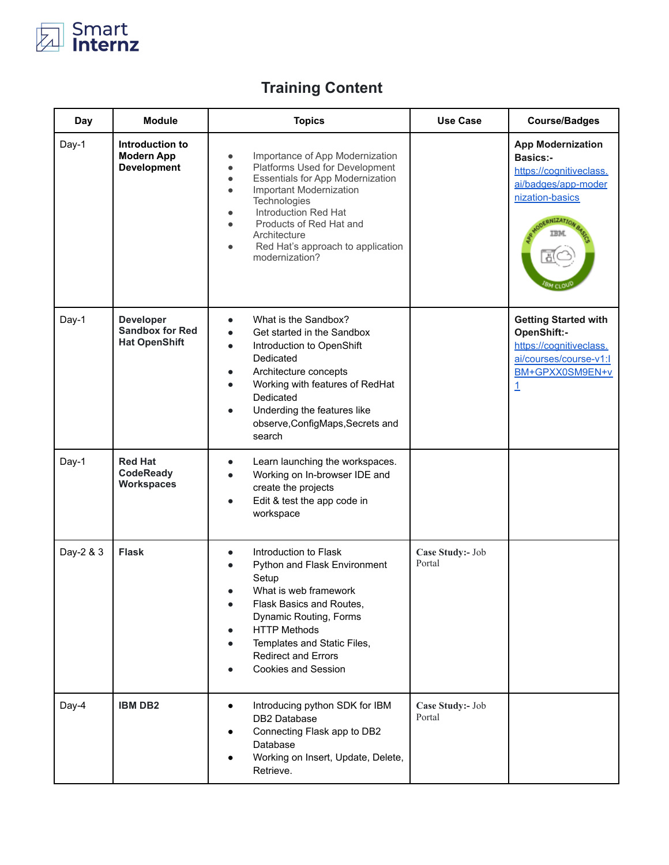

## **Training Content**

| <b>Day</b> | <b>Module</b>                                                      | <b>Topics</b>                                                                                                                                                                                                                                                                                                                                                 | <b>Use Case</b>            | <b>Course/Badges</b>                                                                                                    |
|------------|--------------------------------------------------------------------|---------------------------------------------------------------------------------------------------------------------------------------------------------------------------------------------------------------------------------------------------------------------------------------------------------------------------------------------------------------|----------------------------|-------------------------------------------------------------------------------------------------------------------------|
| Day-1      | Introduction to<br><b>Modern App</b><br><b>Development</b>         | Importance of App Modernization<br>٠<br>Platforms Used for Development<br>$\bullet$<br>Essentials for App Modernization<br>$\bullet$<br>Important Modernization<br>$\bullet$<br>Technologies<br>Introduction Red Hat<br>$\bullet$<br>Products of Red Hat and<br>$\bullet$<br>Architecture<br>Red Hat's approach to application<br>$\bullet$<br>modernization? |                            | <b>App Modernization</b><br><b>Basics:-</b><br>https://cognitiveclass.<br>ai/badges/app-moder<br>nization-basics        |
| Day-1      | <b>Developer</b><br><b>Sandbox for Red</b><br><b>Hat OpenShift</b> | What is the Sandbox?<br>$\bullet$<br>Get started in the Sandbox<br>$\bullet$<br>Introduction to OpenShift<br>$\bullet$<br>Dedicated<br>Architecture concepts<br>$\bullet$<br>Working with features of RedHat<br>Dedicated<br>Underding the features like<br>$\bullet$<br>observe, ConfigMaps, Secrets and<br>search                                           |                            | <b>Getting Started with</b><br>OpenShift:-<br>https://cognitiveclass.<br>ai/courses/course-v1:l<br>BM+GPXX0SM9EN+v<br>1 |
| Day-1      | <b>Red Hat</b><br><b>CodeReady</b><br><b>Workspaces</b>            | Learn launching the workspaces.<br>$\bullet$<br>Working on In-browser IDE and<br>$\bullet$<br>create the projects<br>Edit & test the app code in<br>$\bullet$<br>workspace                                                                                                                                                                                    |                            |                                                                                                                         |
| Day-2 & 3  | <b>Flask</b>                                                       | Introduction to Flask<br>$\bullet$<br>Python and Flask Environment<br>$\bullet$<br>Setup<br>What is web framework<br>Flask Basics and Routes,<br>$\bullet$<br>Dynamic Routing, Forms<br><b>HTTP Methods</b><br>Templates and Static Files,<br><b>Redirect and Errors</b><br><b>Cookies and Session</b><br>$\bullet$                                           | Case Study:- Job<br>Portal |                                                                                                                         |
| Day-4      | <b>IBM DB2</b>                                                     | Introducing python SDK for IBM<br>$\bullet$<br>DB2 Database<br>Connecting Flask app to DB2<br>Database<br>Working on Insert, Update, Delete,<br>Retrieve.                                                                                                                                                                                                     | Case Study:- Job<br>Portal |                                                                                                                         |